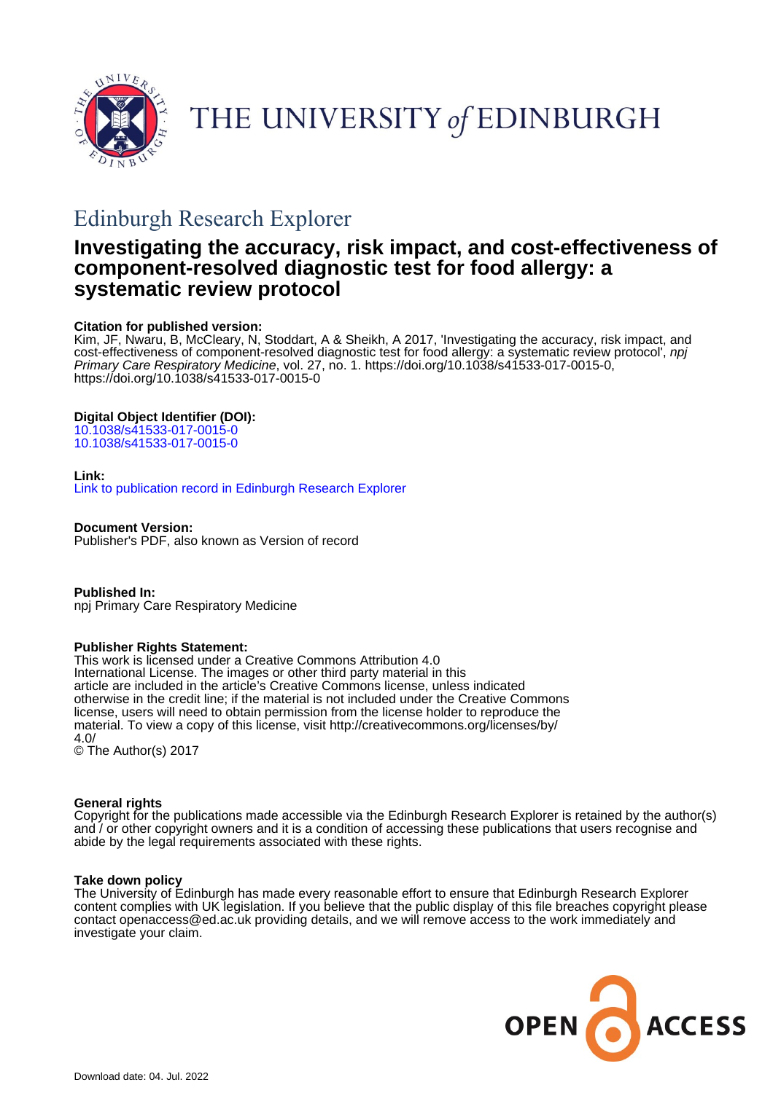

THE UNIVERSITY of EDINBURGH

## Edinburgh Research Explorer

## **Investigating the accuracy, risk impact, and cost-effectiveness of component-resolved diagnostic test for food allergy: a systematic review protocol**

## **Citation for published version:**

Kim, JF, Nwaru, B, McCleary, N, Stoddart, A & Sheikh, A 2017, 'Investigating the accuracy, risk impact, and cost-effectiveness of component-resolved diagnostic test for food allergy: a systematic review protocol', npj Primary Care Respiratory Medicine, vol. 27, no. 1. [https://doi.org/10.1038/s41533-017-0015-0,](https://doi.org/10.1038/s41533-017-0015-0) <https://doi.org/10.1038/s41533-017-0015-0>

## **Digital Object Identifier (DOI):**

[10.1038/s41533-017-0015-0](https://doi.org/10.1038/s41533-017-0015-0) [10.1038/s41533-017-0015-0](https://doi.org/10.1038/s41533-017-0015-0)

## **Link:**

[Link to publication record in Edinburgh Research Explorer](https://www.research.ed.ac.uk/en/publications/2bad8eed-1fe7-493f-8657-8beaf2ef6b3a)

**Document Version:**

Publisher's PDF, also known as Version of record

**Published In:** npj Primary Care Respiratory Medicine

## **Publisher Rights Statement:**

This work is licensed under a Creative Commons Attribution 4.0 International License. The images or other third party material in this article are included in the article's Creative Commons license, unless indicated otherwise in the credit line; if the material is not included under the Creative Commons license, users will need to obtain permission from the license holder to reproduce the material. To view a copy of this license, visit http://creativecommons.org/licenses/by/ 4.0/ © The Author(s) 2017

## **General rights**

Copyright for the publications made accessible via the Edinburgh Research Explorer is retained by the author(s) and / or other copyright owners and it is a condition of accessing these publications that users recognise and abide by the legal requirements associated with these rights.

## **Take down policy**

The University of Edinburgh has made every reasonable effort to ensure that Edinburgh Research Explorer content complies with UK legislation. If you believe that the public display of this file breaches copyright please contact openaccess@ed.ac.uk providing details, and we will remove access to the work immediately and investigate your claim.

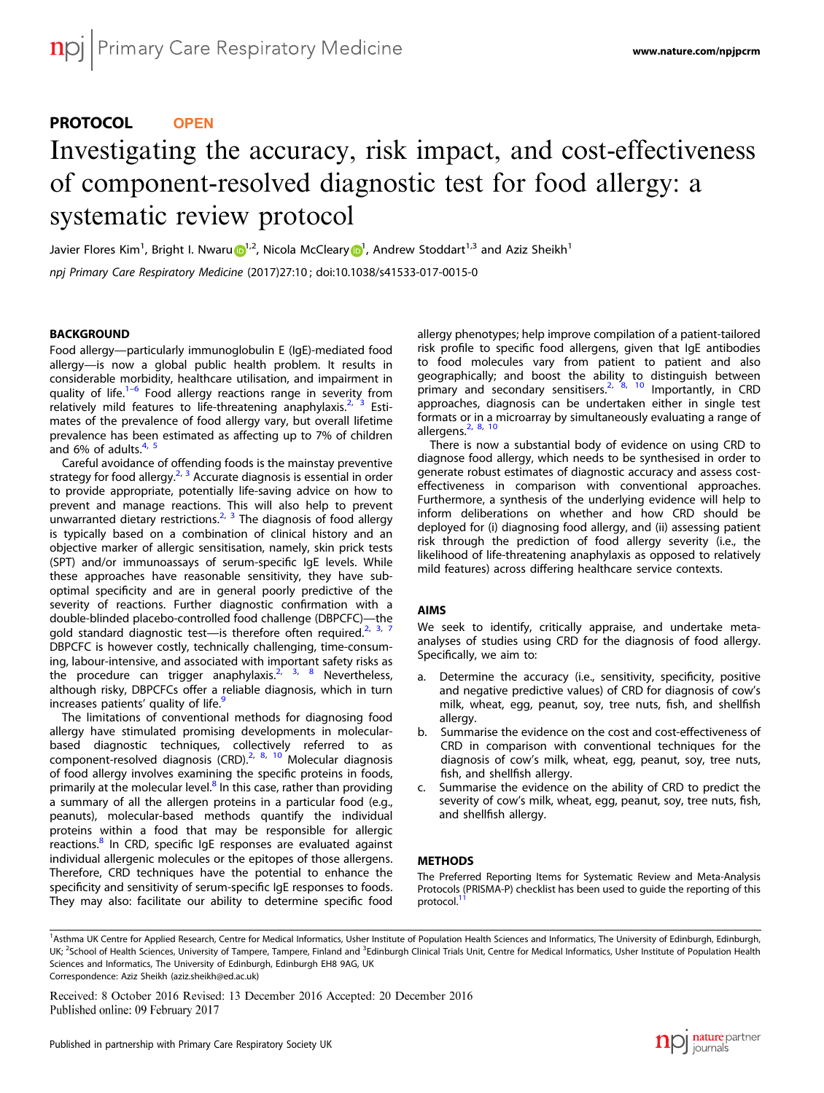## PROTOCOL **OPEN**

# Investigating the accuracy, risk impact, and cost-effectiveness of component-resolved diagnostic test for food allergy: a systematic review protocol

Javier Flores Kim<s[u](http://orcid.org/0000-0002-2876-6089)p>[1](http://orcid.org/0000-0002-4394-703X)</sup>, Bright I. Nwaru $\bigcirc^{1,2}$ , Nicola McCleary $\bigcirc^{1}$ , Andrew Stoddart<sup>1,3</sup> and Aziz Sheikh<sup>1</sup> npj Primary Care Respiratory Medicine (2017) 27:10 ; doi:10.1038/s4[1533-017-0015-0](http://orcid.org/0000-0002-2876-6089)

#### **BACKGROUND**

Food allergy—particularly immunoglobulin E (IgE)-mediated food allergy—is now a global public health problem. It results in considerable morbidity, healthcare utilisation, and impairment in quality of life. $1-6$  $1-6$  $1-6$  Food allergy reactions range in severity from relatively mild features to life-threatening anaphylaxis.<sup>[2](#page-3-0), [3](#page-3-0)</sup> Estimates of the prevalence of food allergy vary, but overall lifetime prevalence has been estimated as affecting up to 7% of children and 6% of adults. $4, 5$  $4, 5$  $4, 5$ 

Careful avoidance of offending foods is the mainstay preventive strategy for food allergy.<sup> $2, 3$  $2, 3$  $2, 3$ </sup> Accurate diagnosis is essential in order to provide appropriate, potentially life-saving advice on how to prevent and manage reactions. This will also help to prevent unwarranted dietary restrictions.<sup>[2](#page-3-0), [3](#page-3-0)</sup> The diagnosis of food allergy is typically based on a combination of clinical history and an objective marker of allergic sensitisation, namely, skin prick tests (SPT) and/or immunoassays of serum-specific IgE levels. While these approaches have reasonable sensitivity, they have suboptimal specificity and are in general poorly predictive of the severity of reactions. Further diagnostic confirmation with a double-blinded placebo-controlled food challenge (DBPCFC)—the gold standard diagnostic test—is therefore often required.<sup>[2,](#page-3-0) [3](#page-3-0), [7](#page-3-0)</sup> DBPCFC is however costly, technically challenging, time-consuming, labour-intensive, and associated with important safety risks as the procedure can trigger anaphylaxis.<sup>[2,](#page-3-0) [3,](#page-3-0) [8](#page-3-0)</sup> Nevertheless, although risky, DBPCFCs offer a reliable diagnosis, which in turn increases patients' quality of life.<sup>[9](#page-3-0)</sup>

The limitations of conventional methods for diagnosing food allergy have stimulated promising developments in molecularbased diagnostic techniques, collectively referred to as component-resolved diagnosis (CRD). $^{2, 8, 10}$  $^{2, 8, 10}$  $^{2, 8, 10}$  $^{2, 8, 10}$  $^{2, 8, 10}$  $^{2, 8, 10}$  $^{2, 8, 10}$  Molecular diagnosis of food allergy involves examining the specific proteins in foods, primarily at the molecular level.<sup>8</sup> In this case, rather than providing a summary of all the allergen proteins in a particular food (e.g., peanuts), molecular-based methods quantify the individual proteins within a food that may be responsible for allergic reactions.<sup>[8](#page-3-0)</sup> In CRD, specific IgE responses are evaluated against individual allergenic molecules or the epitopes of those allergens. Therefore, CRD techniques have the potential to enhance the specificity and sensitivity of serum-specific IgE responses to foods. They may also: facilitate our ability to determine specific food allergy phenotypes; help improve compilation of a patient-tailored risk profile to specific food allergens, given that IgE antibodies to food molecules vary from patient to patient and also geographically; and boost the ability to distinguish between primary and secondary sensitisers.<sup>[2](#page-3-0), [8](#page-3-0), [10](#page-3-0)</sup> Importantly, in CRD approaches, diagnosis can be undertaken either in single test formats or in a microarray by simultaneously evaluating a range of allergens. $2, 8, 10$  $2, 8, 10$  $2, 8, 10$  $2, 8, 10$  $2, 8, 10$ 

There is now a substantial body of evidence on using CRD to diagnose food allergy, which needs to be synthesised in order to generate robust estimates of diagnostic accuracy and assess costeffectiveness in comparison with conventional approaches. Furthermore, a synthesis of the underlying evidence will help to inform deliberations on whether and how CRD should be deployed for (i) diagnosing food allergy, and (ii) assessing patient risk through the prediction of food allergy severity (i.e., the likelihood of life-threatening anaphylaxis as opposed to relatively mild features) across differing healthcare service contexts.

#### AIMS

We seek to identify, critically appraise, and undertake metaanalyses of studies using CRD for the diagnosis of food allergy. Specifically, we aim to:

- a. Determine the accuracy (i.e., sensitivity, specificity, positive and negative predictive values) of CRD for diagnosis of cow's milk, wheat, egg, peanut, soy, tree nuts, fish, and shellfish allergy.
- b. Summarise the evidence on the cost and cost-effectiveness of CRD in comparison with conventional techniques for the diagnosis of cow's milk, wheat, egg, peanut, soy, tree nuts, fish, and shellfish allergy.
- c. Summarise the evidence on the ability of CRD to predict the severity of cow's milk, wheat, egg, peanut, soy, tree nuts, fish, and shellfish allergy.

#### **METHODS**

The Preferred Reporting Items for Systematic Review and Meta-Analysis Protocols (PRISMA-P) checklist has been used to guide the reporting of this protocol.<sup>1</sup>

Received: 8 October 2016 Revised: 13 December 2016 Accepted: 20 December 2016

<sup>&</sup>lt;sup>1</sup>Asthma UK Centre for Applied Research, Centre for Medical Informatics, Usher Institute of Population Health Sciences and Informatics, The University of Edinburgh, Edinburgh, UK; <sup>2</sup>School of Health Sciences, University of Tampere, Tampere, Finland and <sup>3</sup>Edinburgh Clinical Trials Unit, Centre for Medical Informatics, Usher Institute of Population Health Sciences and Informatics, The University of Edinburgh, Edinburgh EH8 9AG, UK Correspondence: Aziz Sheikh (aziz.sheikh@ed.ac.uk)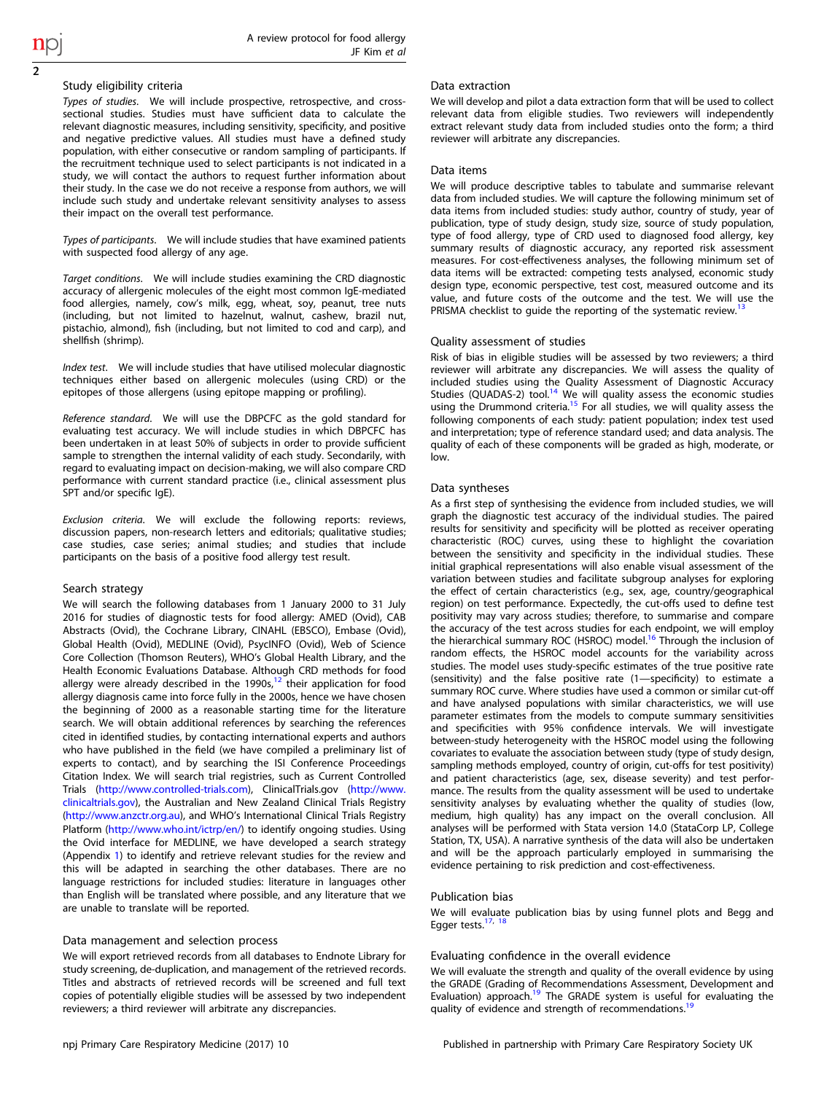#### Study eligibility criteria

Types of studies. We will include prospective, retrospective, and crosssectional studies. Studies must have sufficient data to calculate the relevant diagnostic measures, including sensitivity, specificity, and positive and negative predictive values. All studies must have a defined study population, with either consecutive or random sampling of participants. If the recruitment technique used to select participants is not indicated in a study, we will contact the authors to request further information about their study. In the case we do not receive a response from authors, we will include such study and undertake relevant sensitivity analyses to assess their impact on the overall test performance.

Types of participants. We will include studies that have examined patients with suspected food allergy of any age.

Target conditions. We will include studies examining the CRD diagnostic accuracy of allergenic molecules of the eight most common IgE-mediated food allergies, namely, cow's milk, egg, wheat, soy, peanut, tree nuts (including, but not limited to hazelnut, walnut, cashew, brazil nut, pistachio, almond), fish (including, but not limited to cod and carp), and shellfish (shrimp).

Index test. We will include studies that have utilised molecular diagnostic techniques either based on allergenic molecules (using CRD) or the epitopes of those allergens (using epitope mapping or profiling).

Reference standard. We will use the DBPCFC as the gold standard for evaluating test accuracy. We will include studies in which DBPCFC has been undertaken in at least 50% of subjects in order to provide sufficient sample to strengthen the internal validity of each study. Secondarily, with regard to evaluating impact on decision-making, we will also compare CRD performance with current standard practice (i.e., clinical assessment plus SPT and/or specific IgE).

Exclusion criteria. We will exclude the following reports: reviews, discussion papers, non-research letters and editorials; qualitative studies; case studies, case series; animal studies; and studies that include participants on the basis of a positive food allergy test result.

#### Search strategy

We will search the following databases from 1 January 2000 to 31 July 2016 for studies of diagnostic tests for food allergy: AMED (Ovid), CAB Abstracts (Ovid), the Cochrane Library, CINAHL (EBSCO), Embase (Ovid), Global Health (Ovid), MEDLINE (Ovid), PsycINFO (Ovid), Web of Science Core Collection (Thomson Reuters), WHO's Global Health Library, and the Health Economic Evaluations Database. Although CRD methods for food allergy were already described in the 1990s, $12$  their application for food allergy diagnosis came into force fully in the 2000s, hence we have chosen the beginning of 2000 as a reasonable starting time for the literature search. We will obtain additional references by searching the references cited in identified studies, by contacting international experts and authors who have published in the field (we have compiled a preliminary list of experts to contact), and by searching the ISI Conference Proceedings Citation Index. We will search trial registries, such as Current Controlled Trials [\(http://www.controlled-trials.com](http://www.controlled-trials.com)), ClinicalTrials.gov ([http://www.](http://www.clinicaltrials.gov) [clinicaltrials.gov\)](http://www.clinicaltrials.gov), the Australian and New Zealand Clinical Trials Registry (<http://www.anzctr.org.au>), and WHO's International Clinical Trials Registry Platform [\(http://www.who.int/ictrp/en/](http://www.who.int/ictrp/en/)) to identify ongoing studies. Using the Ovid interface for MEDLINE, we have developed a search strategy (Appendix 1) to identify and retrieve relevant studies for the review and this will be adapted in searching the other databases. There are no language restrictions for included studies: literature in languages other than English will be translated where possible, and any literature that we are unable to translate will be reported.

#### Data management and selection process

We will export retrieved records from all databases to Endnote Library for study screening, de-duplication, and management of the retrieved records. Titles and abstracts of retrieved records will be screened and full text copies of potentially eligible studies will be assessed by two independent reviewers; a third reviewer will arbitrate any discrepancies.

#### Data extraction

We will develop and pilot a data extraction form that will be used to collect relevant data from eligible studies. Two reviewers will independently extract relevant study data from included studies onto the form; a third reviewer will arbitrate any discrepancies.

#### Data items

We will produce descriptive tables to tabulate and summarise relevant data from included studies. We will capture the following minimum set of data items from included studies: study author, country of study, year of publication, type of study design, study size, source of study population, type of food allergy, type of CRD used to diagnosed food allergy, key summary results of diagnostic accuracy, any reported risk assessment measures. For cost-effectiveness analyses, the following minimum set of data items will be extracted: competing tests analysed, economic study design type, economic perspective, test cost, measured outcome and its value, and future costs of the outcome and the test. We will use the PRISMA checklist to guide the reporting of the systematic review.<sup>[13](#page-3-0)</sup>

#### Quality assessment of studies

Risk of bias in eligible studies will be assessed by two reviewers; a third reviewer will arbitrate any discrepancies. We will assess the quality of included studies using the Quality Assessment of Diagnostic Accuracy Studies (QUADAS-2) tool.<sup>14</sup> We will quality assess the economic studies using the Drummond criteria.<sup>[15](#page-4-0)</sup> For all studies, we will quality assess the following components of each study: patient population; index test used and interpretation; type of reference standard used; and data analysis. The quality of each of these components will be graded as high, moderate, or low.

#### Data syntheses

As a first step of synthesising the evidence from included studies, we will graph the diagnostic test accuracy of the individual studies. The paired results for sensitivity and specificity will be plotted as receiver operating characteristic (ROC) curves, using these to highlight the covariation between the sensitivity and specificity in the individual studies. These initial graphical representations will also enable visual assessment of the variation between studies and facilitate subgroup analyses for exploring the effect of certain characteristics (e.g., sex, age, country/geographical region) on test performance. Expectedly, the cut-offs used to define test positivity may vary across studies; therefore, to summarise and compare the accuracy of the test across studies for each endpoint, we will employ the hierarchical summary ROC (HSROC) model.<sup>16</sup> Through the inclusion of random effects, the HSROC model accounts for the variability across studies. The model uses study-specific estimates of the true positive rate (sensitivity) and the false positive rate (1—specificity) to estimate a summary ROC curve. Where studies have used a common or similar cut-off and have analysed populations with similar characteristics, we will use parameter estimates from the models to compute summary sensitivities and specificities with 95% confidence intervals. We will investigate between-study heterogeneity with the HSROC model using the following covariates to evaluate the association between study (type of study design, sampling methods employed, country of origin, cut-offs for test positivity) and patient characteristics (age, sex, disease severity) and test performance. The results from the quality assessment will be used to undertake sensitivity analyses by evaluating whether the quality of studies (low, medium, high quality) has any impact on the overall conclusion. All analyses will be performed with Stata version 14.0 (StataCorp LP, College Station, TX, USA). A narrative synthesis of the data will also be undertaken and will be the approach particularly employed in summarising the evidence pertaining to risk prediction and cost-effectiveness.

#### Publication bias

We will evaluate publication bias by using funnel plots and Begg and Egger tests.<sup>[17](#page-4-0), [18](#page-4-0)</sup>

#### Evaluating confidence in the overall evidence

We will evaluate the strength and quality of the overall evidence by using the GRADE (Grading of Recommendations Assessment, Development and Evaluation) approach.<sup>[19](#page-4-0)</sup> The GRADE system is useful for evaluating the quality of evidence and strength of recommendations.<sup>[19](#page-4-0)</sup>

2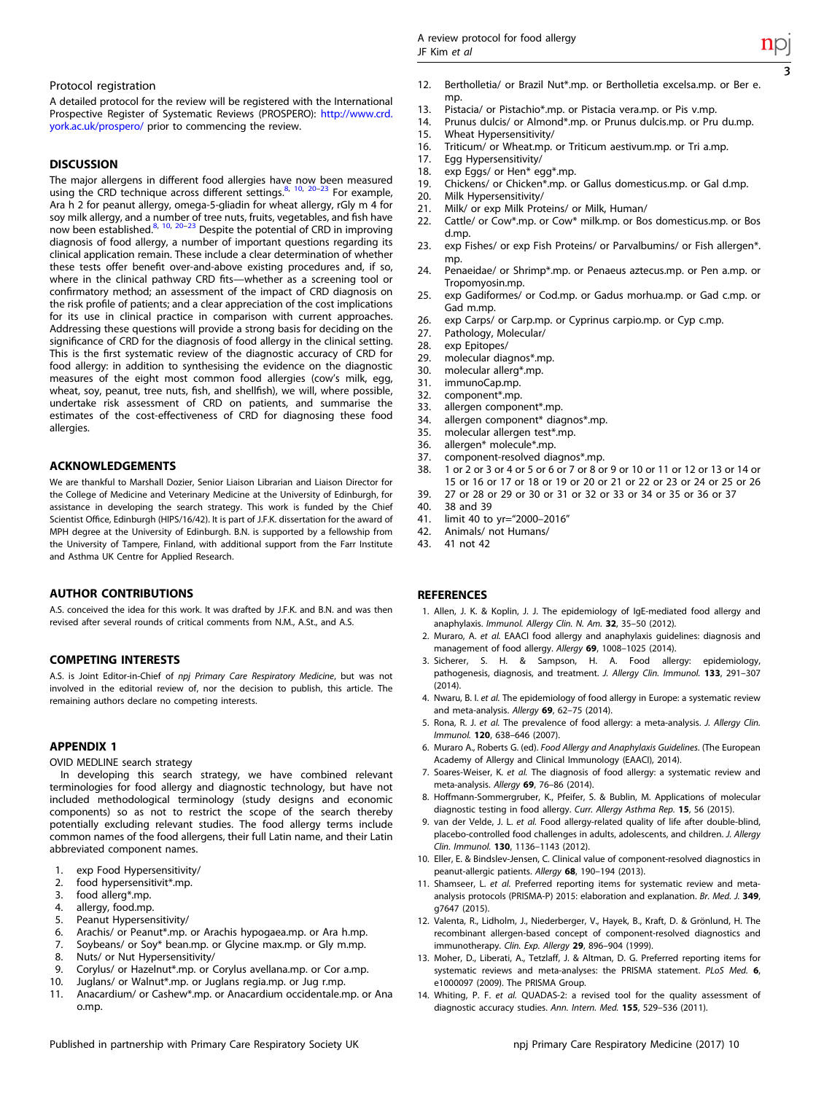#### <span id="page-3-0"></span>Protocol registration

A detailed protocol for the review will be registered with the International Prospective Register of Systematic Reviews (PROSPERO): [http://www.crd.](http://www.crd.york.ac.uk/prospero/) [york.ac.uk/prospero/](http://www.crd.york.ac.uk/prospero/) prior to commencing the review.

#### **DISCUSSION**

The major allergens in different food allergies have now been measured using the CRD technique across different settings. $8, 10, 20-23$  $8, 10, 20-23$  $8, 10, 20-23$  $8, 10, 20-23$  For example, Ara h 2 for peanut allergy, omega-5-gliadin for wheat allergy, rGly m 4 for soy milk allergy, and a number of tree nuts, fruits, vegetables, and fish have now been established. $8, 10, 20-23$  $8, 10, 20-23$  $8, 10, 20-23$  $8, 10, 20-23$  Despite the potential of CRD in improving diagnosis of food allergy, a number of important questions regarding its clinical application remain. These include a clear determination of whether these tests offer benefit over-and-above existing procedures and, if so, where in the clinical pathway CRD fits—whether as a screening tool or confirmatory method; an assessment of the impact of CRD diagnosis on the risk profile of patients; and a clear appreciation of the cost implications for its use in clinical practice in comparison with current approaches. Addressing these questions will provide a strong basis for deciding on the significance of CRD for the diagnosis of food allergy in the clinical setting. This is the first systematic review of the diagnostic accuracy of CRD for food allergy: in addition to synthesising the evidence on the diagnostic measures of the eight most common food allergies (cow's milk, egg, wheat, soy, peanut, tree nuts, fish, and shellfish), we will, where possible, undertake risk assessment of CRD on patients, and summarise the estimates of the cost-effectiveness of CRD for diagnosing these food allergies.

#### ACKNOWLEDGEMENTS

We are thankful to Marshall Dozier, Senior Liaison Librarian and Liaison Director for the College of Medicine and Veterinary Medicine at the University of Edinburgh, for assistance in developing the search strategy. This work is funded by the Chief Scientist Office, Edinburgh (HIPS/16/42). It is part of J.F.K. dissertation for the award of MPH degree at the University of Edinburgh. B.N. is supported by a fellowship from the University of Tampere, Finland, with additional support from the Farr Institute and Asthma UK Centre for Applied Research.

#### AUTHOR CONTRIBUTIONS

A.S. conceived the idea for this work. It was drafted by J.F.K. and B.N. and was then revised after several rounds of critical comments from N.M., A.St., and A.S.

#### COMPETING INTERESTS

A.S. is Joint Editor-in-Chief of npj Primary Care Respiratory Medicine, but was not involved in the editorial review of, nor the decision to publish, this article. The remaining authors declare no competing interests.

### APPENDIX 1

#### OVID MEDLINE search strategy

In developing this search strategy, we have combined relevant terminologies for food allergy and diagnostic technology, but have not included methodological terminology (study designs and economic components) so as not to restrict the scope of the search thereby potentially excluding relevant studies. The food allergy terms include common names of the food allergens, their full Latin name, and their Latin abbreviated component names.

- 1. exp Food Hypersensitivity/
- 2. food hypersensitivit\*.mp.
- 3. food allerg\*.mp.
- 4. allergy, food.mp.
- 5. Peanut Hypersensitivity/
- 6. Arachis/ or Peanut\*.mp. or Arachis hypogaea.mp. or Ara h.mp.
- 7. Soybeans/ or Soy\* bean.mp. or Glycine max.mp. or Gly m.mp.
- 8. Nuts/ or Nut Hypersensitivity/
- 9. Corylus/ or Hazelnut\*.mp. or Corylus avellana.mp. or Cor a.mp.
- 10. Juglans/ or Walnut\*.mp. or Juglans regia.mp. or Jug r.mp.
- 11. Anacardium/ or Cashew\*.mp. or Anacardium occidentale.mp. or Ana o.mp.
- 12. Bertholletia/ or Brazil Nut\*.mp. or Bertholletia excelsa.mp. or Ber e. mp.
- 13. Pistacia/ or Pistachio\*.mp. or Pistacia vera.mp. or Pis v.mp.
- 14. Prunus dulcis/ or Almond\*.mp. or Prunus dulcis.mp. or Pru du.mp.
- 15. Wheat Hypersensitivity/
- 16. Triticum/ or Wheat.mp. or Triticum aestivum.mp. or Tri a.mp.<br>17. Fag Hypersensitivity/
- 17. Egg Hypersensitivity/<br>18 exp Eggs/ or Hen\* eq
- exp Eggs/ or Hen\* egg\*.mp.
- 19. Chickens/ or Chicken\*.mp. or Gallus domesticus.mp. or Gal d.mp.
- 20. Milk Hypersensitivity/
- 21. Milk/ or exp Milk Proteins/ or Milk, Human/
- 22. Cattle/ or Cow\*.mp. or Cow\* milk.mp. or Bos domesticus.mp. or Bos d.mp.
- 23. exp Fishes/ or exp Fish Proteins/ or Parvalbumins/ or Fish allergen\*. mp.
- 24. Penaeidae/ or Shrimp\*.mp. or Penaeus aztecus.mp. or Pen a.mp. or Tropomyosin.mp.
- 25. exp Gadiformes/ or Cod.mp. or Gadus morhua.mp. or Gad c.mp. or Gad m.mp.
- 26. exp Carps/ or Carp.mp. or Cyprinus carpio.mp. or Cyp c.mp.
- 27. Pathology, Molecular/
- 28. exp Epitopes/
- 29. molecular diagnos\*.mp.
- 30. molecular allerg\*.mp.<br>31. immunoCap.mp.
- immunoCap.mp.
- 32. component\*.mp.
- 33. allergen component\*.mp.
- 34. allergen component\* diagnos\*.mp.
- 35. molecular allergen test\*.mp.<br>36. allergen\* molecule\*.mp.
- allergen\* molecule\*.mp.
- 37. component-resolved diagnos\*.mp.
- 38. 1 or 2 or 3 or 4 or 5 or 6 or 7 or 8 or 9 or 10 or 11 or 12 or 13 or 14 or 15 or 16 or 17 or 18 or 19 or 20 or 21 or 22 or 23 or 24 or 25 or 26
- 39. 27 or 28 or 29 or 30 or 31 or 32 or 33 or 34 or 35 or 36 or 37
- 40. 38 and 39
- 41. limit 40 to yr="2000–2016"
- 42. Animals/ not Humans/
- 43. 41 not 42

#### **REFERENCES**

- 1. Allen, J. K. & Koplin, J. J. The epidemiology of IgE-mediated food allergy and anaphylaxis. Immunol. Allergy Clin. N. Am. 32, 35–50 (2012).
- 2. Muraro, A. et al. EAACI food allergy and anaphylaxis guidelines: diagnosis and management of food allergy. Allergy 69, 1008–1025 (2014).
- 3. Sicherer, S. H. & Sampson, H. A. Food allergy: epidemiology, pathogenesis, diagnosis, and treatment. J. Allergy Clin. Immunol. 133, 291-307 (2014).
- 4. Nwaru, B. I. et al. The epidemiology of food allergy in Europe: a systematic review and meta-analysis. Allergy 69, 62-75 (2014).
- 5. Rona, R. J. et al. The prevalence of food allergy: a meta-analysis. J. Allergy Clin. Immunol. 120, 638–646 (2007).
- 6. Muraro A., Roberts G. (ed). Food Allergy and Anaphylaxis Guidelines. (The European Academy of Allergy and Clinical Immunology (EAACI), 2014).
- 7. Soares-Weiser, K. et al. The diagnosis of food allergy: a systematic review and meta-analysis. Allergy 69, 76–86 (2014).
- 8. Hoffmann-Sommergruber, K., Pfeifer, S. & Bublin, M. Applications of molecular diagnostic testing in food allergy. Curr. Allergy Asthma Rep. 15, 56 (2015).
- 9. van der Velde, J. L. et al. Food allergy-related quality of life after double-blind, placebo-controlled food challenges in adults, adolescents, and children. J. Allergy Clin. Immunol. 130, 1136–1143 (2012).
- 10. Eller, E. & Bindslev-Jensen, C. Clinical value of component-resolved diagnostics in peanut-allergic patients. Allergy 68, 190–194 (2013).
- 11. Shamseer, L. et al. Preferred reporting items for systematic review and metaanalysis protocols (PRISMA-P) 2015: elaboration and explanation. Br. Med. J. 349, g7647 (2015).
- 12. Valenta, R., Lidholm, J., Niederberger, V., Hayek, B., Kraft, D. & Grönlund, H. The recombinant allergen-based concept of component-resolved diagnostics and immunotherapy. Clin. Exp. Allergy 29, 896–904 (1999).
- 13. Moher, D., Liberati, A., Tetzlaff, J. & Altman, D. G. Preferred reporting items for systematic reviews and meta-analyses: the PRISMA statement. PLoS Med. 6, e1000097 (2009). The PRISMA Group.
- 14. Whiting, P. F. et al. QUADAS-2: a revised tool for the quality assessment of diagnostic accuracy studies. Ann. Intern. Med. 155, 529–536 (2011).

3